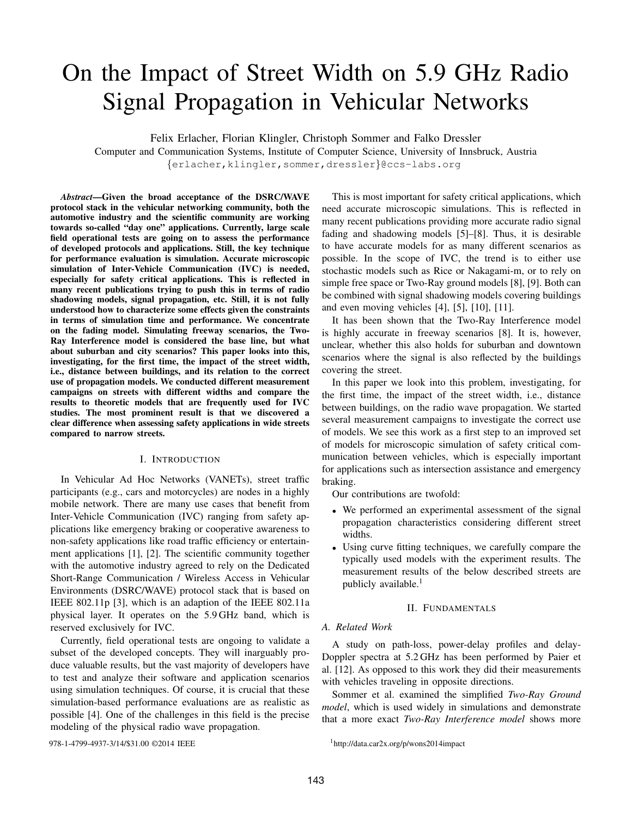# On the Impact of Street Width on 5.9 GHz Radio Signal Propagation in Vehicular Networks

Felix Erlacher, Florian Klingler, Christoph Sommer and Falko Dressler

Computer and Communication Systems, Institute of Computer Science, University of Innsbruck, Austria {erlacher,klingler,sommer,dressler}@ccs-labs.org

*Abstract*—Given the broad acceptance of the DSRC/WAVE protocol stack in the vehicular networking community, both the automotive industry and the scientific community are working towards so-called "day one" applications. Currently, large scale field operational tests are going on to assess the performance of developed protocols and applications. Still, the key technique for performance evaluation is simulation. Accurate microscopic simulation of Inter-Vehicle Communication (IVC) is needed, especially for safety critical applications. This is reflected in many recent publications trying to push this in terms of radio shadowing models, signal propagation, etc. Still, it is not fully understood how to characterize some effects given the constraints in terms of simulation time and performance. We concentrate on the fading model. Simulating freeway scenarios, the Two-Ray Interference model is considered the base line, but what about suburban and city scenarios? This paper looks into this, investigating, for the first time, the impact of the street width, i.e., distance between buildings, and its relation to the correct use of propagation models. We conducted different measurement campaigns on streets with different widths and compare the results to theoretic models that are frequently used for IVC studies. The most prominent result is that we discovered a clear difference when assessing safety applications in wide streets compared to narrow streets.

#### I. INTRODUCTION

In Vehicular Ad Hoc Networks (VANETs), street traffic participants (e.g., cars and motorcycles) are nodes in a highly mobile network. There are many use cases that benefit from Inter-Vehicle Communication (IVC) ranging from safety applications like emergency braking or cooperative awareness to non-safety applications like road traffic efficiency or entertainment applications [1], [2]. The scientific community together with the automotive industry agreed to rely on the Dedicated Short-Range Communication / Wireless Access in Vehicular Environments (DSRC/WAVE) protocol stack that is based on IEEE 802.11p [3], which is an adaption of the IEEE 802.11a physical layer. It operates on the 5.9 GHz band, which is reserved exclusively for IVC.

Currently, field operational tests are ongoing to validate a subset of the developed concepts. They will inarguably produce valuable results, but the vast majority of developers have to test and analyze their software and application scenarios using simulation techniques. Of course, it is crucial that these simulation-based performance evaluations are as realistic as possible [4]. One of the challenges in this field is the precise modeling of the physical radio wave propagation.

<sup>1</sup> 978-1-4799-4937-3/14/\$31.00 ©2014 IEEE http://data.car2x.org/p/wons2014impact

This is most important for safety critical applications, which need accurate microscopic simulations. This is reflected in many recent publications providing more accurate radio signal fading and shadowing models [5]–[8]. Thus, it is desirable to have accurate models for as many different scenarios as possible. In the scope of IVC, the trend is to either use stochastic models such as Rice or Nakagami-m, or to rely on simple free space or Two-Ray ground models [8], [9]. Both can be combined with signal shadowing models covering buildings and even moving vehicles [4], [5], [10], [11].

It has been shown that the Two-Ray Interference model is highly accurate in freeway scenarios [8]. It is, however, unclear, whether this also holds for suburban and downtown scenarios where the signal is also reflected by the buildings covering the street.

In this paper we look into this problem, investigating, for the first time, the impact of the street width, i.e., distance between buildings, on the radio wave propagation. We started several measurement campaigns to investigate the correct use of models. We see this work as a first step to an improved set of models for microscopic simulation of safety critical communication between vehicles, which is especially important for applications such as intersection assistance and emergency braking.

Our contributions are twofold:

- We performed an experimental assessment of the signal propagation characteristics considering different street widths.
- Using curve fitting techniques, we carefully compare the typically used models with the experiment results. The measurement results of the below described streets are publicly available.<sup>1</sup>

### II. FUNDAMENTALS

## *A. Related Work*

A study on path-loss, power-delay profiles and delay-Doppler spectra at 5.2 GHz has been performed by Paier et al. [12]. As opposed to this work they did their measurements with vehicles traveling in opposite directions.

Sommer et al. examined the simplified *Two-Ray Ground model*, which is used widely in simulations and demonstrate that a more exact *Two-Ray Interference model* shows more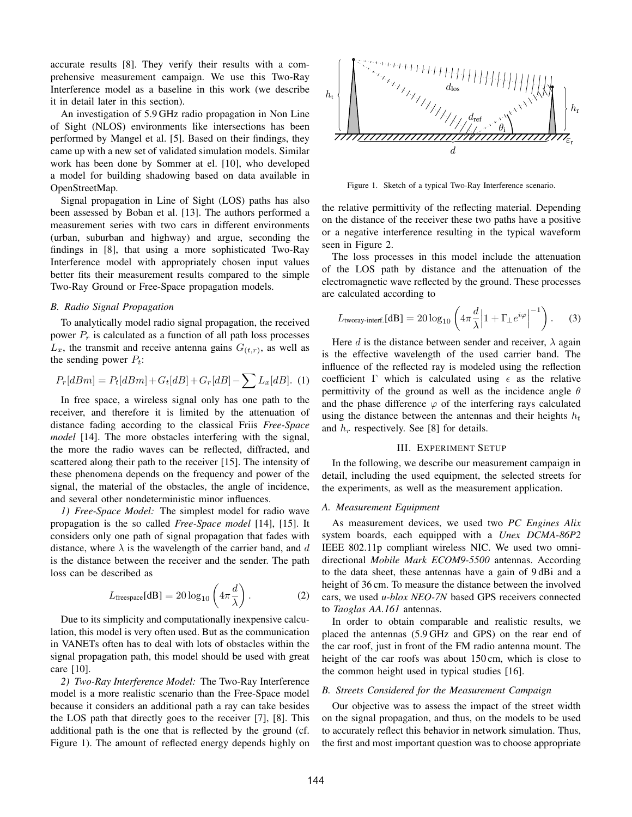accurate results [8]. They verify their results with a comprehensive measurement campaign. We use this Two-Ray Interference model as a baseline in this work (we describe it in detail later in this section).

An investigation of 5.9 GHz radio propagation in Non Line of Sight (NLOS) environments like intersections has been performed by Mangel et al. [5]. Based on their findings, they came up with a new set of validated simulation models. Similar work has been done by Sommer at el. [10], who developed a model for building shadowing based on data available in OpenStreetMap.

Signal propagation in Line of Sight (LOS) paths has also been assessed by Boban et al. [13]. The authors performed a measurement series with two cars in different environments (urban, suburban and highway) and argue, seconding the findings in [8], that using a more sophisticated Two-Ray Interference model with appropriately chosen input values better fits their measurement results compared to the simple Two-Ray Ground or Free-Space propagation models.

# *B. Radio Signal Propagation*

To analytically model radio signal propagation, the received power  $P<sub>r</sub>$  is calculated as a function of all path loss processes  $L_x$ , the transmit and receive antenna gains  $G_{(t,r)}$ , as well as the sending power  $P_t$ :

$$
P_r[dBm] = P_t[dBm] + G_t[dB] + G_r[dB] - \sum L_x[dB].
$$
 (1)

In free space, a wireless signal only has one path to the receiver, and therefore it is limited by the attenuation of distance fading according to the classical Friis *Free-Space model* [14]. The more obstacles interfering with the signal, the more the radio waves can be reflected, diffracted, and scattered along their path to the receiver [15]. The intensity of these phenomena depends on the frequency and power of the signal, the material of the obstacles, the angle of incidence, and several other nondeterministic minor influences.

*1) Free-Space Model:* The simplest model for radio wave propagation is the so called *Free-Space model* [14], [15]. It considers only one path of signal propagation that fades with distance, where  $\lambda$  is the wavelength of the carrier band, and d is the distance between the receiver and the sender. The path loss can be described as

$$
L_{\text{freespace}}[dB] = 20 \log_{10} \left( 4\pi \frac{d}{\lambda} \right). \tag{2}
$$

Due to its simplicity and computationally inexpensive calculation, this model is very often used. But as the communication in VANETs often has to deal with lots of obstacles within the signal propagation path, this model should be used with great care [10].

*2) Two-Ray Interference Model:* The Two-Ray Interference model is a more realistic scenario than the Free-Space model because it considers an additional path a ray can take besides the LOS path that directly goes to the receiver [7], [8]. This additional path is the one that is reflected by the ground (cf. Figure 1). The amount of reflected energy depends highly on



Figure 1. Sketch of a typical Two-Ray Interference scenario.

the relative permittivity of the reflecting material. Depending on the distance of the receiver these two paths have a positive or a negative interference resulting in the typical waveform seen in Figure 2.

The loss processes in this model include the attenuation of the LOS path by distance and the attenuation of the electromagnetic wave reflected by the ground. These processes are calculated according to

$$
L_{\text{tworay-interf.}}[\text{dB}] = 20 \log_{10} \left( 4\pi \frac{d}{\lambda} \left| 1 + \Gamma_{\perp} e^{i\varphi} \right|^{-1} \right). \tag{3}
$$

Here d is the distance between sender and receiver,  $\lambda$  again is the effective wavelength of the used carrier band. The influence of the reflected ray is modeled using the reflection coefficient  $\Gamma$  which is calculated using  $\epsilon$  as the relative permittivity of the ground as well as the incidence angle  $\theta$ and the phase difference  $\varphi$  of the interfering rays calculated using the distance between the antennas and their heights  $h_t$ and  $h_r$  respectively. See [8] for details.

## III. EXPERIMENT SETUP

In the following, we describe our measurement campaign in detail, including the used equipment, the selected streets for the experiments, as well as the measurement application.

#### *A. Measurement Equipment*

As measurement devices, we used two *PC Engines Alix* system boards, each equipped with a *Unex DCMA-86P2* IEEE 802.11p compliant wireless NIC. We used two omnidirectional *Mobile Mark ECOM9-5500* antennas. According to the data sheet, these antennas have a gain of 9 dBi and a height of 36 cm. To measure the distance between the involved cars, we used *u-blox NEO-7N* based GPS receivers connected to *Taoglas AA.161* antennas.

In order to obtain comparable and realistic results, we placed the antennas (5.9 GHz and GPS) on the rear end of the car roof, just in front of the FM radio antenna mount. The height of the car roofs was about 150 cm, which is close to the common height used in typical studies [16].

# *B. Streets Considered for the Measurement Campaign*

Our objective was to assess the impact of the street width on the signal propagation, and thus, on the models to be used to accurately reflect this behavior in network simulation. Thus, the first and most important question was to choose appropriate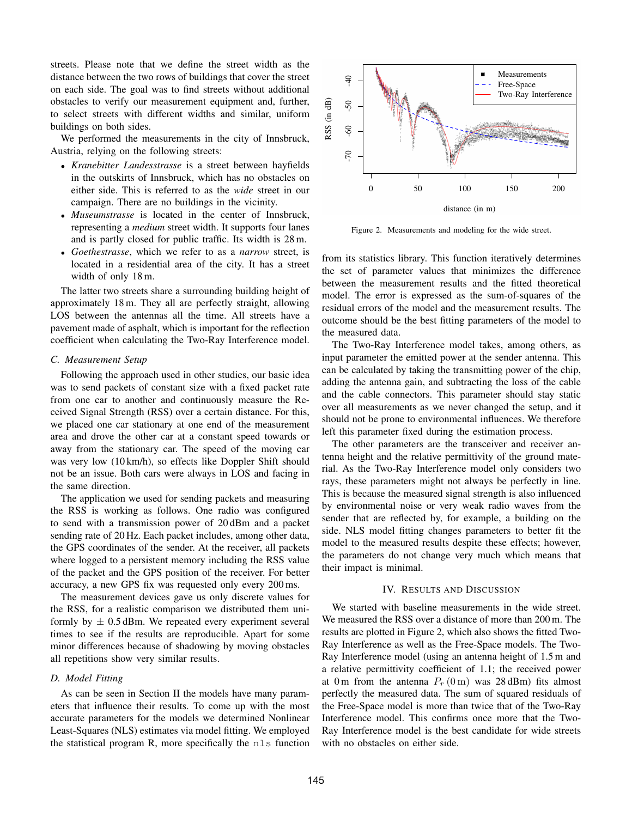streets. Please note that we define the street width as the distance between the two rows of buildings that cover the street on each side. The goal was to find streets without additional obstacles to verify our measurement equipment and, further, to select streets with different widths and similar, uniform buildings on both sides.

We performed the measurements in the city of Innsbruck, Austria, relying on the following streets:

- *Kranebitter Landesstrasse* is a street between hayfields in the outskirts of Innsbruck, which has no obstacles on either side. This is referred to as the *wide* street in our campaign. There are no buildings in the vicinity.
- *Museumstrasse* is located in the center of Innsbruck, representing a *medium* street width. It supports four lanes and is partly closed for public traffic. Its width is 28 m.
- *Goethestrasse*, which we refer to as a *narrow* street, is located in a residential area of the city. It has a street width of only 18 m.

The latter two streets share a surrounding building height of approximately 18 m. They all are perfectly straight, allowing LOS between the antennas all the time. All streets have a pavement made of asphalt, which is important for the reflection coefficient when calculating the Two-Ray Interference model.

## *C. Measurement Setup*

Following the approach used in other studies, our basic idea was to send packets of constant size with a fixed packet rate from one car to another and continuously measure the Received Signal Strength (RSS) over a certain distance. For this, we placed one car stationary at one end of the measurement area and drove the other car at a constant speed towards or away from the stationary car. The speed of the moving car was very low (10 km/h), so effects like Doppler Shift should not be an issue. Both cars were always in LOS and facing in the same direction.

The application we used for sending packets and measuring the RSS is working as follows. One radio was configured to send with a transmission power of 20 dBm and a packet sending rate of 20 Hz. Each packet includes, among other data, the GPS coordinates of the sender. At the receiver, all packets where logged to a persistent memory including the RSS value of the packet and the GPS position of the receiver. For better accuracy, a new GPS fix was requested only every 200 ms.

The measurement devices gave us only discrete values for the RSS, for a realistic comparison we distributed them uniformly by  $\pm$  0.5 dBm. We repeated every experiment several times to see if the results are reproducible. Apart for some minor differences because of shadowing by moving obstacles all repetitions show very similar results.

# *D. Model Fitting*

As can be seen in Section II the models have many parameters that influence their results. To come up with the most accurate parameters for the models we determined Nonlinear Least-Squares (NLS) estimates via model fitting. We employed the statistical program R, more specifically the nls function



Figure 2. Measurements and modeling for the wide street.

from its statistics library. This function iteratively determines the set of parameter values that minimizes the difference between the measurement results and the fitted theoretical model. The error is expressed as the sum-of-squares of the residual errors of the model and the measurement results. The outcome should be the best fitting parameters of the model to the measured data.

The Two-Ray Interference model takes, among others, as input parameter the emitted power at the sender antenna. This can be calculated by taking the transmitting power of the chip, adding the antenna gain, and subtracting the loss of the cable and the cable connectors. This parameter should stay static over all measurements as we never changed the setup, and it should not be prone to environmental influences. We therefore left this parameter fixed during the estimation process.

The other parameters are the transceiver and receiver antenna height and the relative permittivity of the ground material. As the Two-Ray Interference model only considers two rays, these parameters might not always be perfectly in line. This is because the measured signal strength is also influenced by environmental noise or very weak radio waves from the sender that are reflected by, for example, a building on the side. NLS model fitting changes parameters to better fit the model to the measured results despite these effects; however, the parameters do not change very much which means that their impact is minimal.

## IV. RESULTS AND DISCUSSION

We started with baseline measurements in the wide street. We measured the RSS over a distance of more than 200 m. The results are plotted in Figure 2, which also shows the fitted Two-Ray Interference as well as the Free-Space models. The Two-Ray Interference model (using an antenna height of 1.5 m and a relative permittivity coefficient of 1.1; the received power at 0 m from the antenna  $P_r$  (0 m) was 28 dBm) fits almost perfectly the measured data. The sum of squared residuals of the Free-Space model is more than twice that of the Two-Ray Interference model. This confirms once more that the Two-Ray Interference model is the best candidate for wide streets with no obstacles on either side.